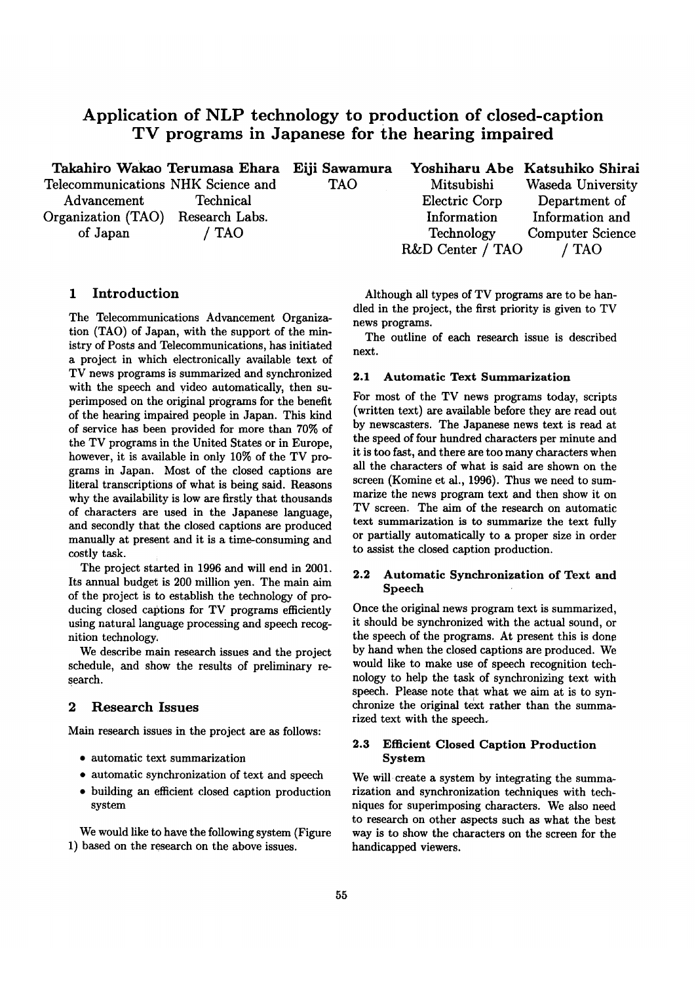# **Application of NLP technology to production of closed-caption TV programs in Japanese for the hearing impaired**

|                                    | Takahiro Wakao Terumasa Ehara Eiji Sawamura |            |                  | Yoshiharu Abe Katsuhiko Shirai |
|------------------------------------|---------------------------------------------|------------|------------------|--------------------------------|
| Telecommunications NHK Science and |                                             | <b>TAO</b> | Mitsubishi       | Waseda University              |
| Advancement                        | Technical                                   |            | Electric Corp    | Department of                  |
| Organization (TAO) Research Labs.  |                                             |            | Information      | Information and                |
| of Japan                           | / TAO                                       |            | Technology       | <b>Computer Science</b>        |
|                                    |                                             |            | R&D Center / TAO | ' TAO                          |

# **1 Introduction**

The Telecommunications Advancement Organization (TAO) of Japan, with the support of the ministry of Posts and Telecommunications, has initiated a project in which electronically available text of TV news programs is summarized and synchronized with the speech and video automatically, then superimposed on the original programs for the benefit of the hearing impaired people in Japan. This kind of service has been provided for more than 70% of the TV programs in the United States or in Europe, however, it is available in only 10% of the TV programs in Japan. Most of the closed captions are literal transcriptions of what is being said. Reasons why the availability is low are firstly that thousands of characters are used in the Japanese language, and secondly that the closed captions are produced manually at present and it is a time-consuming and costly task.

The project started in 1996 and will end in 2001. Its annual budget is 200 million yen. The main aim of the project is to establish the technology of producing closed captions for TV programs efficiently using natural language processing and speech recognition technology.

We describe main research issues and the project schedule, and show the results of preliminary research.

#### **2 Research Issues**

Main research issues in the project are as follows:

- automatic text summarization
- automatic synchronization of text and speech
- building an efficient closed caption production system

We would like to have the following system (Figure 1) based on the research on the above issues.

Although all types of TV programs are to be handled in the project, the first priority is given to TV news programs.

The outline of each research issue is described next.

### **2.1 Automatic Text Summarization**

For most of the TV news programs today, scripts (written text) are available before they are read out by newscasters. The Japanese news text is read at the speed of four hundred characters per minute and it is too fast, and there are too many characters when all the characters of what is said are shown on the screen (Komine et al., 1996). Thus we need to summarize the news program text and then show it on TV screen. The aim of the research on automatic text summarization is to summarize the text fully or partially automatically to a proper size in order to assist the closed caption production.

## **2.2 Automatic Synchronization of Text and Speech**

Once the original news program text is summarized, it should be synchronized with the actual sound, or the speech of the programs. At present this is done by hand when the closed captions are produced. We would like to make use of speech recognition technology to help the task of synchronizing text with speech. Please note that what we aim at is to synchronize the original text rather than the summarized text with the speech.

### **2.3 Efficient Closed Caption Production System**

We will create a system by integrating the summarization and synchronization techniques with techniques for superimposing characters. We also need to research on other aspects such as what the best way is to show the characters on the screen for the handicapped viewers.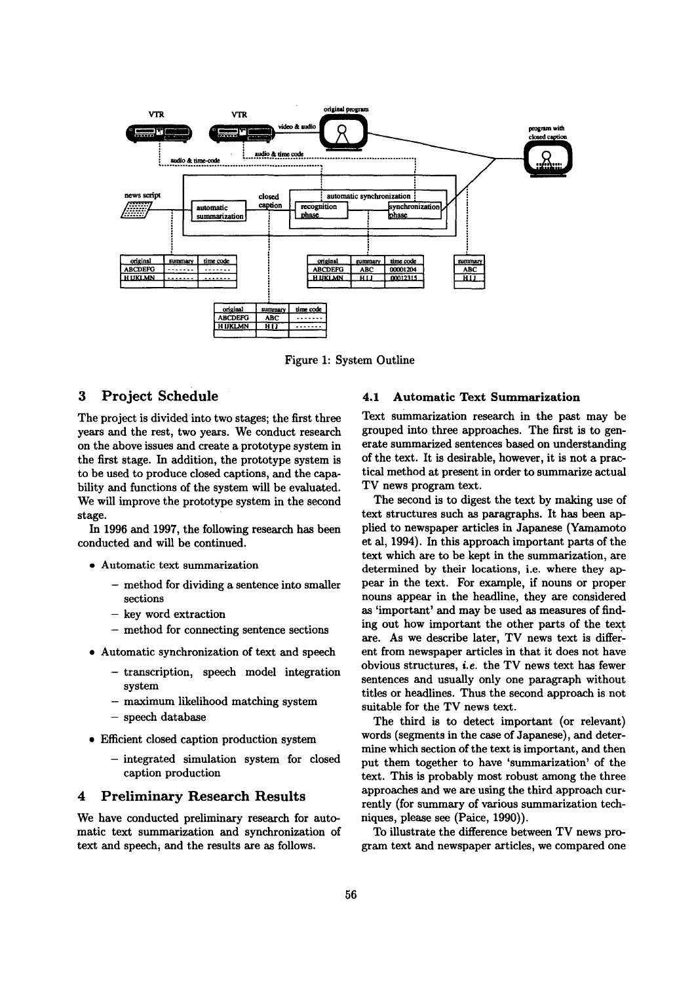

Figure 1: System Outline

# 3 Project Schedule

The project is divided into two stages; the first three years and the rest, two years. We conduct research on the above issues and create a prototype system in the first stage. In addition, the prototype system is to be used to produce closed captions, and the capability and functions of the system will be evaluated. We will improve the prototype system in the second stage.

In 1996 and 1997, the following research has been conducted and will be continued.

- Automatic text summarization
	- method for dividing a sentence into smaller sections
	- key word extraction
	- method for connecting sentence sections
- Automatic synchronization of text and speech
	- -transcription, speech model integration system
	- maximum likelihood matching system
	- speech database
- $\bullet$  Efficient closed caption production system
	- -integrated simulation system for closed caption production

### **4** Preliminary Research Results

We have conducted preliminary research for automatic text summarization and synchronization of text and speech, and the results are as follows.

### **4.1 Automatic Text Summarization**

Text summarization research in the past may he grouped into three approaches. The first is to generate summarized sentences based on understanding of the text. It is desirable, however, it is not a practical method at present in order to summarize actual TV news program text.

The second is to digest the text by making use of text structures such as paragraphs. It has been applied to newspaper articles in Japanese (Yamamoto et al, 1994). In this approach important parts of the text which are to be kept in the summarization, are determined by their locations, i.e. where they appear in the text. For example, if nouns or proper nouns appear in the headline, they are considered as 'important' and may be used as measures of finding out how important the other parts of the text are. As we describe later, TV news text is different from newspaper articles in that it does not have obvious structures, i.e. the TV news text has fewer sentences and usually only one paragraph without titles or headlines. Thus the second approach is not suitable for the TV news text.

The third is to detect important (or relevant) words (segments in the case of Japanese), and determine which section of the text is important, and then put them together to have 'summarization' of the text. This is probably most robust among the three approaches and we are using the third approach currently (for summary of various summarization techniques, please see (Paice, 1990)).

To illustrate the difference between TV news program text and newspaper articles, we compared one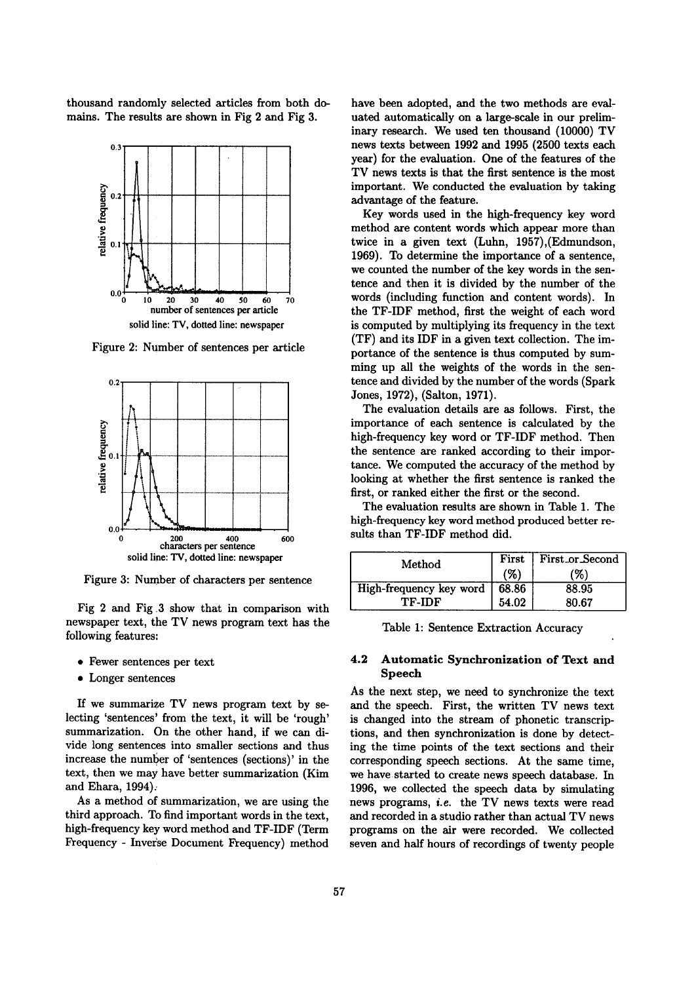thousand randomly selected articles from both domains. The results are shown in Fig 2 and Fig 3.



Figure 2: Number of sentences per article



Figure 3: Number of characters per sentence

Fig 2 and Fig 3 show that in comparison with newspaper text, the TV news program text has the following features:

- Fewer sentences per text
- Longer sentences

If we summarize TV news program text by selecting 'sentences' from the text, it will be 'rough' summarization. On the other hand, if we can divide long sentences into smaller sections and thus increase the number of 'sentences (sections)' in the text, then we may have better summarization (Kim and Ehara, 1994):

As a method of summarization, we are using the third approach. To find important words in the text, high-frequency key word method and TF-IDF (Term Frequency - Inverse Document Frequency) method

have been adopted, and the two methods are evaluated automatically on a large-scale in our preliminary research. We used ten thousand (10000) TV news texts between 1992 and 1995 (2500 texts each year) for the evaluation. One of the features of the TV news texts is that the first sentence is the most important. We conducted the evaluation by taking advantage of the feature.

Key words used in the high-frequency key word method are content words which appear more than twice in a given text (Luhn, 1957),(Edmundson, 1969). To determine the importance of a sentence, we counted the number of the key words in the sentence and then it is divided by the number of the words (including function and content words). In the TF-IDF method, first the weight of each word is computed by multiplying its frequency in the text (TF) and its IDF in a given text collection. The importance of the sentence is thus computed by summing up all the weights of the words in the sentence and divided by the number of the words (Spark Jones, 1972), (Salton, 1971).

The evaluation details are as follows. First, the importance of each sentence is calculated by the high-frequency key word or TF-IDF method. Then the sentence are ranked according to their importance. We computed the accuracy of the method by looking at whether the first sentence is ranked the first, or ranked either the first or the second.

The evaluation results are shown in Table 1. The high-frequency key word method produced better results than TF-IDF method did.

| Method                  |       | First First or Second |
|-------------------------|-------|-----------------------|
|                         | (%)   | (%)                   |
| High-frequency key word | 68.86 | 88.95                 |
| TF-IDF                  | 54.02 | 80.67                 |

Table 1: Sentence Extraction Accuracy

### **4.2 Automatic Synchronization of Text and Speech**

As the next step, we need to synchronize the text and the speech. First, the written TV news text is changed into the stream of phonetic transcriptions, and then synchronization is done by detecting the time points of the text sections and their corresponding speech sections. At the same time, we have started to create news speech database. In 1996, we collected the speech data by simulating news programs, *i.e.* the TV news texts were read and recorded in a studio rather than actual TV news programs on the air were recorded. We collected seven and half hours of recordings of twenty people